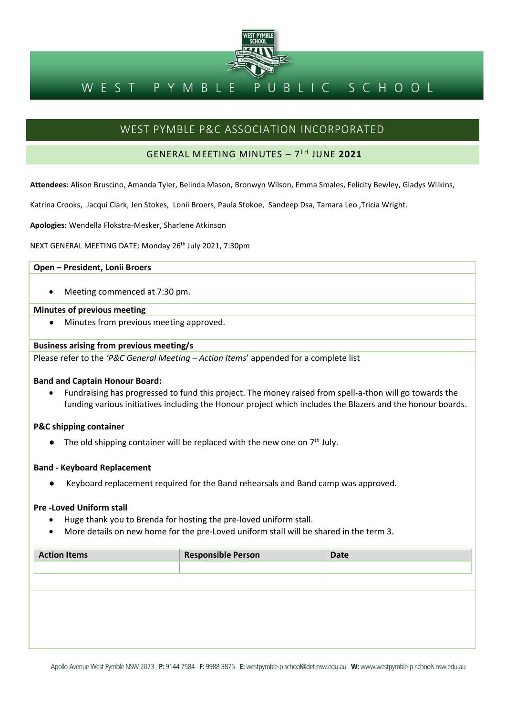

#### BLIC SCHOOL PYMBLE WEST

# WEST PYMBLE P&C ASSOCIATION INCORPORATED

## GENERAL MEETING MINUTES – 7 TH JUNE **2021**

**Attendees:** Alison Bruscino, Amanda Tyler, Belinda Mason, Bronwyn Wilson, Emma Smales, Felicity Bewley, Gladys Wilkins,

Katrina Crooks, Jacqui Clark, Jen Stokes, Lonii Broers, Paula Stokoe, Sandeep Dsa, Tamara Leo ,Tricia Wright.

**Apologies:** Wendella Flokstra-Mesker, Sharlene Atkinson

NEXT GENERAL MEETING DATE: Monday 26th July 2021, 7:30pm

### **Open – President, Lonii Broers**

• Meeting commenced at 7:30 pm.

#### **Minutes of previous meeting**

Minutes from previous meeting approved.

#### **Business arising from previous meeting/s**

Please refer to the *'P&C General Meeting – Action Items*' appended for a complete list

#### **Band and Captain Honour Board:**

• Fundraising has progressed to fund this project. The money raised from spell-a-thon will go towards the funding various initiatives including the Honour project which includes the Blazers and the honour boards.

#### **P&C shipping container**

• The old shipping container will be replaced with the new one on  $7<sup>th</sup>$  July.

#### **Band - Keyboard Replacement**

Keyboard replacement required for the Band rehearsals and Band camp was approved.

#### **Pre -Loved Uniform stall**

- Huge thank you to Brenda for hosting the pre-loved uniform stall.
- More details on new home for the pre-Loved uniform stall will be shared in the term 3.

| <b>Action Items</b> | <b>Responsible Person</b> | <b>Date</b> |
|---------------------|---------------------------|-------------|
|                     |                           |             |
|                     |                           |             |
|                     |                           |             |
|                     |                           |             |
|                     |                           |             |
|                     |                           |             |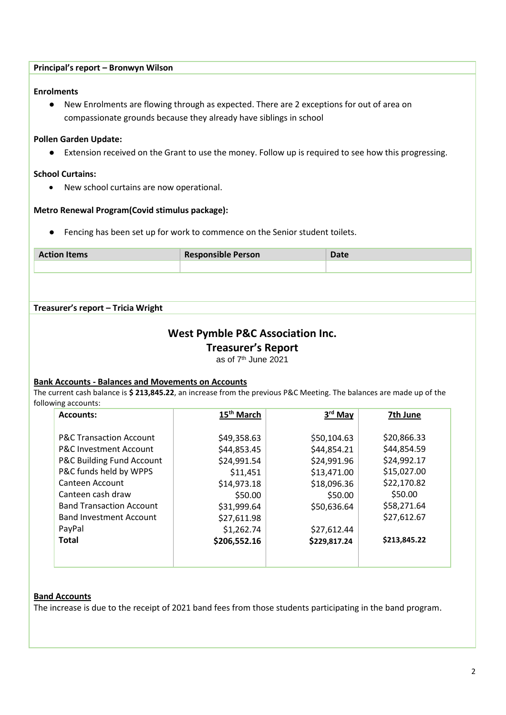| <b>Enrolments</b>                                                                                                                            |                                                                                                             |                             |                            |
|----------------------------------------------------------------------------------------------------------------------------------------------|-------------------------------------------------------------------------------------------------------------|-----------------------------|----------------------------|
|                                                                                                                                              | New Enrolments are flowing through as expected. There are 2 exceptions for out of area on                   |                             |                            |
|                                                                                                                                              | compassionate grounds because they already have siblings in school                                          |                             |                            |
| <b>Pollen Garden Update:</b>                                                                                                                 |                                                                                                             |                             |                            |
|                                                                                                                                              | Extension received on the Grant to use the money. Follow up is required to see how this progressing.        |                             |                            |
|                                                                                                                                              |                                                                                                             |                             |                            |
| <b>School Curtains:</b>                                                                                                                      |                                                                                                             |                             |                            |
| New school curtains are now operational.<br>$\bullet$                                                                                        |                                                                                                             |                             |                            |
| Metro Renewal Program(Covid stimulus package):                                                                                               |                                                                                                             |                             |                            |
|                                                                                                                                              | Fencing has been set up for work to commence on the Senior student toilets.                                 |                             |                            |
|                                                                                                                                              |                                                                                                             |                             |                            |
| <b>Action Items</b>                                                                                                                          | <b>Responsible Person</b>                                                                                   | <b>Date</b>                 |                            |
|                                                                                                                                              |                                                                                                             |                             |                            |
| Treasurer's report - Tricia Wright                                                                                                           | <b>West Pymble P&amp;C Association Inc.</b><br><b>Treasurer's Report</b><br>as of 7 <sup>th</sup> June 2021 |                             |                            |
| <b>Bank Accounts - Balances and Movements on Accounts</b>                                                                                    |                                                                                                             |                             |                            |
| The current cash balance is \$ 213,845.22, an increase from the previous P&C Meeting. The balances are made up of the<br>following accounts: |                                                                                                             |                             |                            |
| <b>Accounts:</b>                                                                                                                             | 15 <sup>th</sup> March                                                                                      | 3rd May                     | 7th June                   |
|                                                                                                                                              |                                                                                                             |                             |                            |
| <b>P&amp;C Transaction Account</b>                                                                                                           | \$49,358.63                                                                                                 | \$50,104.63                 | \$20,866.33                |
| P&C Investment Account                                                                                                                       | \$44,853.45                                                                                                 | \$44,854.21                 | \$44,854.59                |
| P&C Building Fund Account                                                                                                                    | \$24,991.54                                                                                                 | \$24,991.96                 | \$24,992.17                |
| P&C funds held by WPPS<br>Canteen Account                                                                                                    | \$11,451                                                                                                    | \$13,471.00                 | \$15,027.00                |
| Canteen cash draw                                                                                                                            | \$14,973.18                                                                                                 | \$18,096.36                 | \$22,170.82<br>\$50.00     |
| <b>Band Transaction Account</b>                                                                                                              | \$50.00                                                                                                     | \$50.00                     |                            |
| <b>Band Investment Account</b>                                                                                                               | \$31,999.64                                                                                                 | \$50,636.64                 | \$58,271.64<br>\$27,612.67 |
| PayPal                                                                                                                                       | \$27,611.98                                                                                                 |                             |                            |
| <b>Total</b>                                                                                                                                 | \$1,262.74<br>\$206,552.16                                                                                  | \$27,612.44<br>\$229,817.24 | \$213,845.22               |

The increase is due to the receipt of 2021 band fees from those students participating in the band program.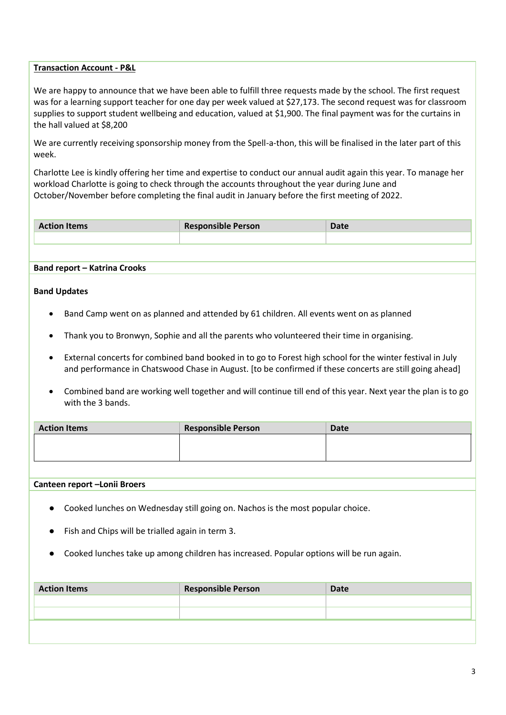#### **Transaction Account - P&L**

We are happy to announce that we have been able to fulfill three requests made by the school. The first request was for a learning support teacher for one day per week valued at \$27,173. The second request was for classroom supplies to support student wellbeing and education, valued at \$1,900. The final payment was for the curtains in the hall valued at \$8,200

We are currently receiving sponsorship money from the Spell-a-thon, this will be finalised in the later part of this week.

Charlotte Lee is kindly offering her time and expertise to conduct our annual audit again this year. To manage her workload Charlotte is going to check through the accounts throughout the year during June and October/November before completing the final audit in January before the first meeting of 2022.

| <b>Action Items</b> | <b>Responsible Person</b> | Date |
|---------------------|---------------------------|------|
|                     |                           |      |

#### **Band report – Katrina Crooks**

#### **Band Updates**

- Band Camp went on as planned and attended by 61 children. All events went on as planned
- Thank you to Bronwyn, Sophie and all the parents who volunteered their time in organising.
- External concerts for combined band booked in to go to Forest high school for the winter festival in July and performance in Chatswood Chase in August. [to be confirmed if these concerts are still going ahead]
- Combined band are working well together and will continue till end of this year. Next year the plan is to go with the 3 bands.

| <b>Action Items</b> | <b>Responsible Person</b> | <b>Date</b> |
|---------------------|---------------------------|-------------|
|                     |                           |             |
|                     |                           |             |

#### **Canteen report –Lonii Broers**

- Cooked lunches on Wednesday still going on. Nachos is the most popular choice.
- Fish and Chips will be trialled again in term 3.
- Cooked lunches take up among children has increased. Popular options will be run again.

| <b>Action Items</b> | <b>Responsible Person</b> | <b>Date</b> |
|---------------------|---------------------------|-------------|
|                     |                           |             |
|                     |                           |             |
|                     |                           |             |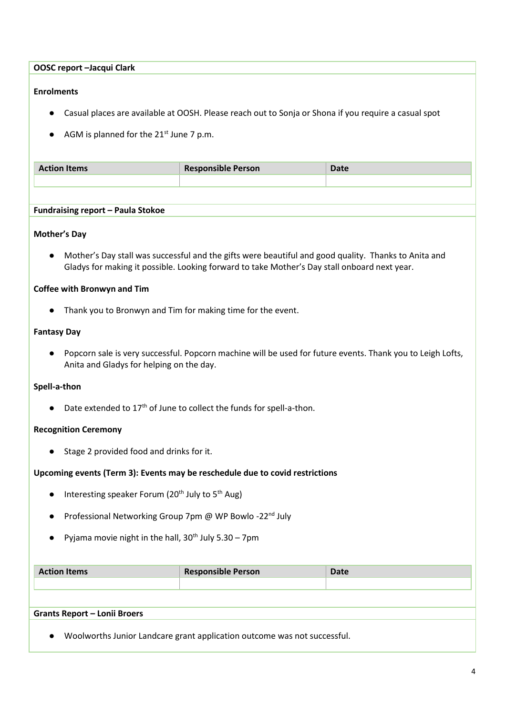**OOSC report –Jacqui Clark**

#### **Enrolments**

- Casual places are available at OOSH. Please reach out to Sonja or Shona if you require a casual spot
- $\bullet$  AGM is planned for the 21<sup>st</sup> June 7 p.m.

| <b>Action Items</b> | <b>Responsible Person</b> | $\n  n$<br>Udle. |
|---------------------|---------------------------|------------------|
|                     |                           |                  |

#### **Fundraising report – Paula Stokoe**

#### **Mother's Day**

● Mother's Day stall was successful and the gifts were beautiful and good quality. Thanks to Anita and Gladys for making it possible. Looking forward to take Mother's Day stall onboard next year.

#### **Coffee with Bronwyn and Tim**

● Thank you to Bronwyn and Tim for making time for the event.

### **Fantasy Day**

● Popcorn sale is very successful. Popcorn machine will be used for future events. Thank you to Leigh Lofts, Anita and Gladys for helping on the day.

#### **Spell-a-thon**

 $\bullet$  Date extended to 17<sup>th</sup> of June to collect the funds for spell-a-thon.

#### **Recognition Ceremony**

● Stage 2 provided food and drinks for it.

#### **Upcoming events (Term 3): Events may be reschedule due to covid restrictions**

- $\bullet$  Interesting speaker Forum (20<sup>th</sup> July to 5<sup>th</sup> Aug)
- Professional Networking Group 7pm @ WP Bowlo -22<sup>nd</sup> July
- Pyjama movie night in the hall,  $30<sup>th</sup>$  July 5.30 7pm

| <b>Action Items</b>                                                      | <b>Responsible Person</b> | Date |  |
|--------------------------------------------------------------------------|---------------------------|------|--|
|                                                                          |                           |      |  |
|                                                                          |                           |      |  |
| <b>Grants Report – Lonii Broers</b>                                      |                           |      |  |
| Woolworths Junior Landcare grant application outcome was not successful. |                           |      |  |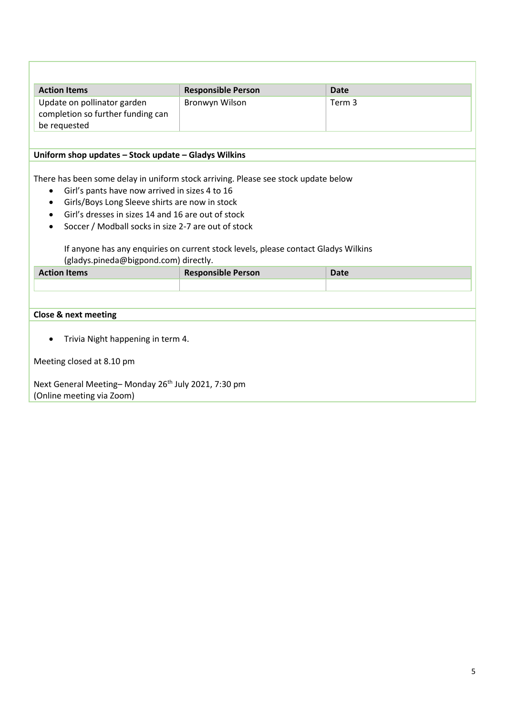| <b>Action Items</b>                                                                                                                                                                                                                                                                                                                                                                                                                                                       | <b>Responsible Person</b> | <b>Date</b> |  |  |
|---------------------------------------------------------------------------------------------------------------------------------------------------------------------------------------------------------------------------------------------------------------------------------------------------------------------------------------------------------------------------------------------------------------------------------------------------------------------------|---------------------------|-------------|--|--|
| Update on pollinator garden<br>completion so further funding can<br>be requested                                                                                                                                                                                                                                                                                                                                                                                          | Bronwyn Wilson            | Term 3      |  |  |
|                                                                                                                                                                                                                                                                                                                                                                                                                                                                           |                           |             |  |  |
| Uniform shop updates - Stock update - Gladys Wilkins                                                                                                                                                                                                                                                                                                                                                                                                                      |                           |             |  |  |
| There has been some delay in uniform stock arriving. Please see stock update below<br>Girl's pants have now arrived in sizes 4 to 16<br>$\bullet$<br>Girls/Boys Long Sleeve shirts are now in stock<br>$\bullet$<br>Girl's dresses in sizes 14 and 16 are out of stock<br>$\bullet$<br>Soccer / Modball socks in size 2-7 are out of stock<br>If anyone has any enquiries on current stock levels, please contact Gladys Wilkins<br>(gladys.pineda@bigpond.com) directly. |                           |             |  |  |
| <b>Action Items</b>                                                                                                                                                                                                                                                                                                                                                                                                                                                       | <b>Responsible Person</b> | <b>Date</b> |  |  |
|                                                                                                                                                                                                                                                                                                                                                                                                                                                                           |                           |             |  |  |
| <b>Close &amp; next meeting</b>                                                                                                                                                                                                                                                                                                                                                                                                                                           |                           |             |  |  |
| Trivia Night happening in term 4.                                                                                                                                                                                                                                                                                                                                                                                                                                         |                           |             |  |  |
| Meeting closed at 8.10 pm                                                                                                                                                                                                                                                                                                                                                                                                                                                 |                           |             |  |  |
| Next General Meeting-Monday 26 <sup>th</sup> July 2021, 7:30 pm<br>(Online meeting via Zoom)                                                                                                                                                                                                                                                                                                                                                                              |                           |             |  |  |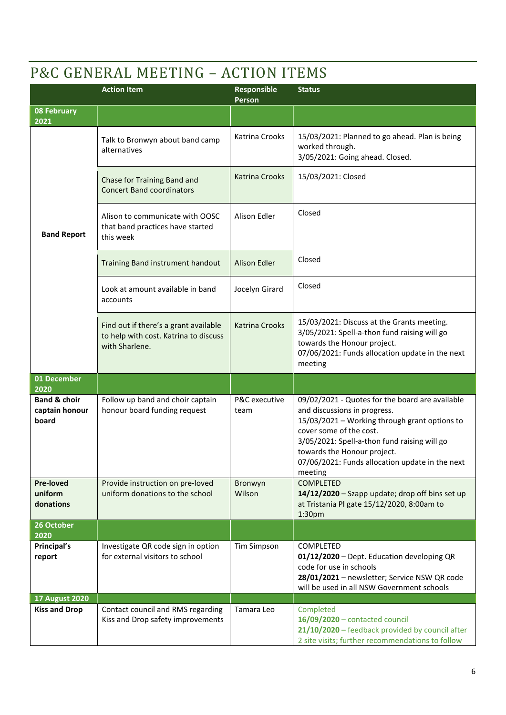# P&C GENERAL MEETING – ACTION ITEMS

|                                                    | <b>Action Item</b>                                                                               | Responsible<br>Person | <b>Status</b>                                                                                                                                                                                                                                                                                            |
|----------------------------------------------------|--------------------------------------------------------------------------------------------------|-----------------------|----------------------------------------------------------------------------------------------------------------------------------------------------------------------------------------------------------------------------------------------------------------------------------------------------------|
| <b>08 February</b><br>2021                         |                                                                                                  |                       |                                                                                                                                                                                                                                                                                                          |
|                                                    | Talk to Bronwyn about band camp<br>alternatives                                                  | <b>Katrina Crooks</b> | 15/03/2021: Planned to go ahead. Plan is being<br>worked through.<br>3/05/2021: Going ahead. Closed.                                                                                                                                                                                                     |
|                                                    | Chase for Training Band and<br><b>Concert Band coordinators</b>                                  | <b>Katrina Crooks</b> | 15/03/2021: Closed                                                                                                                                                                                                                                                                                       |
| <b>Band Report</b>                                 | Alison to communicate with OOSC<br>that band practices have started<br>this week                 | Alison Edler          | Closed                                                                                                                                                                                                                                                                                                   |
|                                                    | Training Band instrument handout                                                                 | <b>Alison Edler</b>   | Closed                                                                                                                                                                                                                                                                                                   |
|                                                    | Look at amount available in band<br>accounts                                                     | Jocelyn Girard        | Closed                                                                                                                                                                                                                                                                                                   |
|                                                    | Find out if there's a grant available<br>to help with cost. Katrina to discuss<br>with Sharlene. | <b>Katrina Crooks</b> | 15/03/2021: Discuss at the Grants meeting.<br>3/05/2021: Spell-a-thon fund raising will go<br>towards the Honour project.<br>07/06/2021: Funds allocation update in the next<br>meeting                                                                                                                  |
| 01 December<br>2020                                |                                                                                                  |                       |                                                                                                                                                                                                                                                                                                          |
| <b>Band &amp; choir</b><br>captain honour<br>board | Follow up band and choir captain<br>honour board funding request                                 | P&C executive<br>team | 09/02/2021 - Quotes for the board are available<br>and discussions in progress.<br>15/03/2021 - Working through grant options to<br>cover some of the cost.<br>3/05/2021: Spell-a-thon fund raising will go<br>towards the Honour project.<br>07/06/2021: Funds allocation update in the next<br>meeting |
| <b>Pre-loved</b><br>uniform<br>donations           | Provide instruction on pre-loved<br>uniform donations to the school                              | Bronwyn<br>Wilson     | <b>COMPLETED</b><br>14/12/2020 - Szapp update; drop off bins set up<br>at Tristania Pl gate 15/12/2020, 8:00am to<br>1:30 <sub>pm</sub>                                                                                                                                                                  |
| 26 October<br>2020                                 |                                                                                                  |                       |                                                                                                                                                                                                                                                                                                          |
| Principal's<br>report                              | Investigate QR code sign in option<br>for external visitors to school                            | <b>Tim Simpson</b>    | COMPLETED<br>01/12/2020 - Dept. Education developing QR<br>code for use in schools<br>28/01/2021 - newsletter; Service NSW QR code<br>will be used in all NSW Government schools                                                                                                                         |
| <b>17 August 2020</b><br><b>Kiss and Drop</b>      | Contact council and RMS regarding                                                                | Tamara Leo            | Completed                                                                                                                                                                                                                                                                                                |
|                                                    | Kiss and Drop safety improvements                                                                |                       | 16/09/2020 - contacted council<br>21/10/2020 - feedback provided by council after<br>2 site visits; further recommendations to follow                                                                                                                                                                    |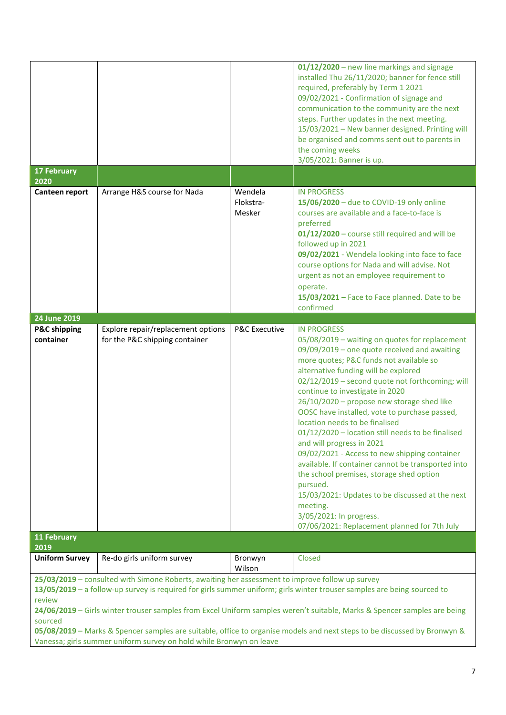|                                                                                                                                     |                                                                                                 |                          | 01/12/2020 - new line markings and signage<br>installed Thu 26/11/2020; banner for fence still                          |
|-------------------------------------------------------------------------------------------------------------------------------------|-------------------------------------------------------------------------------------------------|--------------------------|-------------------------------------------------------------------------------------------------------------------------|
|                                                                                                                                     |                                                                                                 |                          | required, preferably by Term 1 2021                                                                                     |
|                                                                                                                                     |                                                                                                 |                          | 09/02/2021 - Confirmation of signage and                                                                                |
|                                                                                                                                     |                                                                                                 |                          | communication to the community are the next                                                                             |
|                                                                                                                                     |                                                                                                 |                          | steps. Further updates in the next meeting.                                                                             |
|                                                                                                                                     |                                                                                                 |                          | 15/03/2021 - New banner designed. Printing will                                                                         |
|                                                                                                                                     |                                                                                                 |                          | be organised and comms sent out to parents in                                                                           |
|                                                                                                                                     |                                                                                                 |                          | the coming weeks                                                                                                        |
|                                                                                                                                     |                                                                                                 |                          | 3/05/2021: Banner is up.                                                                                                |
| <b>17 February</b><br>2020                                                                                                          |                                                                                                 |                          |                                                                                                                         |
| Canteen report                                                                                                                      | Arrange H&S course for Nada                                                                     | Wendela                  | <b>IN PROGRESS</b>                                                                                                      |
|                                                                                                                                     |                                                                                                 | Flokstra-                | 15/06/2020 - due to COVID-19 only online                                                                                |
|                                                                                                                                     |                                                                                                 | Mesker                   | courses are available and a face-to-face is                                                                             |
|                                                                                                                                     |                                                                                                 |                          | preferred                                                                                                               |
|                                                                                                                                     |                                                                                                 |                          | 01/12/2020 - course still required and will be                                                                          |
|                                                                                                                                     |                                                                                                 |                          | followed up in 2021                                                                                                     |
|                                                                                                                                     |                                                                                                 |                          | 09/02/2021 - Wendela looking into face to face                                                                          |
|                                                                                                                                     |                                                                                                 |                          | course options for Nada and will advise. Not                                                                            |
|                                                                                                                                     |                                                                                                 |                          | urgent as not an employee requirement to                                                                                |
|                                                                                                                                     |                                                                                                 |                          | operate.                                                                                                                |
|                                                                                                                                     |                                                                                                 |                          | 15/03/2021 - Face to Face planned. Date to be                                                                           |
|                                                                                                                                     |                                                                                                 |                          | confirmed                                                                                                               |
| 24 June 2019                                                                                                                        |                                                                                                 |                          |                                                                                                                         |
| <b>P&amp;C</b> shipping                                                                                                             | Explore repair/replacement options                                                              | <b>P&amp;C Executive</b> | <b>IN PROGRESS</b>                                                                                                      |
| container                                                                                                                           | for the P&C shipping container                                                                  |                          | 05/08/2019 - waiting on quotes for replacement                                                                          |
|                                                                                                                                     |                                                                                                 |                          | 09/09/2019 - one quote received and awaiting                                                                            |
|                                                                                                                                     |                                                                                                 |                          | more quotes; P&C funds not available so                                                                                 |
|                                                                                                                                     |                                                                                                 |                          | alternative funding will be explored                                                                                    |
|                                                                                                                                     |                                                                                                 |                          | 02/12/2019 - second quote not forthcoming; will<br>continue to investigate in 2020                                      |
|                                                                                                                                     |                                                                                                 |                          | 26/10/2020 - propose new storage shed like                                                                              |
|                                                                                                                                     |                                                                                                 |                          | OOSC have installed, vote to purchase passed,                                                                           |
|                                                                                                                                     |                                                                                                 |                          | location needs to be finalised                                                                                          |
|                                                                                                                                     |                                                                                                 |                          | 01/12/2020 - location still needs to be finalised                                                                       |
|                                                                                                                                     |                                                                                                 |                          | and will progress in 2021                                                                                               |
|                                                                                                                                     |                                                                                                 |                          | 09/02/2021 - Access to new shipping container                                                                           |
|                                                                                                                                     |                                                                                                 |                          | available. If container cannot be transported into                                                                      |
|                                                                                                                                     |                                                                                                 |                          | the school premises, storage shed option                                                                                |
|                                                                                                                                     |                                                                                                 |                          | pursued.                                                                                                                |
|                                                                                                                                     |                                                                                                 |                          | 15/03/2021: Updates to be discussed at the next                                                                         |
|                                                                                                                                     |                                                                                                 |                          | meeting.                                                                                                                |
|                                                                                                                                     |                                                                                                 |                          | 3/05/2021: In progress.                                                                                                 |
|                                                                                                                                     |                                                                                                 |                          | 07/06/2021: Replacement planned for 7th July                                                                            |
| 11 February                                                                                                                         |                                                                                                 |                          |                                                                                                                         |
| 2019                                                                                                                                |                                                                                                 |                          |                                                                                                                         |
| <b>Uniform Survey</b>                                                                                                               | Re-do girls uniform survey                                                                      | Bronwyn<br>Wilson        | Closed                                                                                                                  |
|                                                                                                                                     | 25/03/2019 - consulted with Simone Roberts, awaiting her assessment to improve follow up survey |                          |                                                                                                                         |
|                                                                                                                                     |                                                                                                 |                          | 13/05/2019 - a follow-up survey is required for girls summer uniform; girls winter trouser samples are being sourced to |
| review                                                                                                                              |                                                                                                 |                          |                                                                                                                         |
| 24/06/2019 - Girls winter trouser samples from Excel Uniform samples weren't suitable, Marks & Spencer samples are being<br>sourced |                                                                                                 |                          |                                                                                                                         |
| 05/08/2019 - Marks & Spencer samples are suitable, office to organise models and next steps to be discussed by Bronwyn &            |                                                                                                 |                          |                                                                                                                         |
|                                                                                                                                     |                                                                                                 |                          |                                                                                                                         |